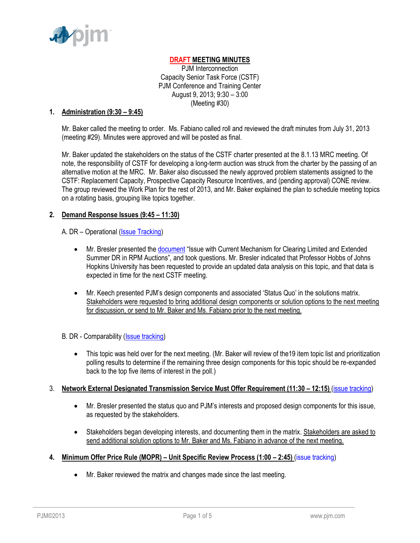

# **DRAFT MEETING MINUTES**

PJM Interconnection Capacity Senior Task Force (CSTF) PJM Conference and Training Center August 9, 2013; 9:30 – 3:00 (Meeting #30)

### **1. Administration (9:30 – 9:45)**

Mr. Baker called the meeting to order. Ms. Fabiano called roll and reviewed the draft minutes from July 31, 2013 (meeting #29). Minutes were approved and will be posted as final.

Mr. Baker updated the stakeholders on the status of the CSTF charter presented at the 8.1.13 MRC meeting. Of note, the responsibility of CSTF for developing a long-term auction was struck from the charter by the passing of an alternative motion at the MRC. Mr. Baker also discussed the newly approved problem statements assigned to the CSTF: Replacement Capacity, Prospective Capacity Resource Incentives, and (pending approval) CONE review. The group reviewed the Work Plan for the rest of 2013, and Mr. Baker explained the plan to schedule meeting topics on a rotating basis, grouping like topics together.

## **2. Demand Response Issues (9:45 – 11:30)**

### A. DR – Operational (*Issue Tracking*)

- Mr. Bresler presented the [document](http://www.pjm.com/~/media/committees-groups/task-forces/cstf/20130809/20130809-item-02a-clearing-limited-and-extended-summer-dr-issue-statement.ashx) "Issue with Current Mechanism for Clearing Limited and Extended Summer DR in RPM Auctions", and took questions. Mr. Bresler indicated that Professor Hobbs of Johns Hopkins University has been requested to provide an updated data analysis on this topic, and that data is expected in time for the next CSTF meeting.
- Mr. Keech presented PJM's design components and associated 'Status Quo' in the solutions matrix. Stakeholders were requested to bring additional design components or solution options to the next meeting for discussion, or send to Mr. Baker and Ms. Fabiano prior to the next meeting.

## B. DR - Comparability (*Issue tracking*)

 This topic was held over for the next meeting. (Mr. Baker will review of the19 item topic list and prioritization polling results to determine if the remaining three design components for this topic should be re-expanded back to the top five items of interest in the poll.)

## 3. **Network External Designated Transmission Service Must Offer Requirement (11:30 – 12:15)** [\(issue tracking\)](http://pjm.com/committees-and-groups/issue-tracking/issue-tracking-details.aspx?Issue=%7b66EDA134-6237-4B82-A983-B04964DD5776%7d)

- Mr. Bresler presented the status quo and PJM's interests and proposed design components for this issue, as requested by the stakeholders.
- Stakeholders began developing interests, and documenting them in the matrix. Stakeholders are asked to send additional solution options to Mr. Baker and Ms. Fabiano in advance of the next meeting.
- **4. Minimum Offer Price Rule (MOPR) – Unit Specific Review Process (1:00 – 2:45)** [\(issue tracking\)](http://www.pjm.com/committees-and-groups/issue-tracking/issue-tracking-details.aspx?Issue=%7b615F4A47-A683-4E2F-90EA-10FFFCBFA91D%7d)
	- Mr. Baker reviewed the matrix and changes made since the last meeting.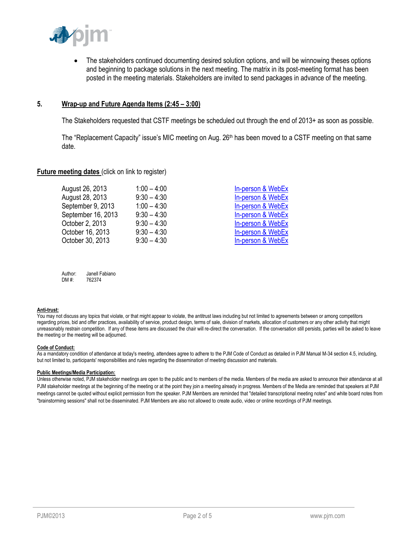

• The stakeholders continued documenting desired solution options, and will be winnowing theses options and beginning to package solutions in the next meeting. The matrix in its post-meeting format has been posted in the meeting materials. Stakeholders are invited to send packages in advance of the meeting.

### **5. Wrap-up and Future Agenda Items (2:45 – 3:00)**

The Stakeholders requested that CSTF meetings be scheduled out through the end of 2013+ as soon as possible.

The "Replacement Capacity" issue's MIC meeting on Aug. 26<sup>th</sup> has been moved to a CSTF meeting on that same date.

#### **Future meeting dates (click on link to register)**

| $1:00 - 4:00$ | In-person & WebEx |
|---------------|-------------------|
| $9:30 - 4:30$ | In-person & WebEx |
| $1:00 - 4:30$ | In-person & WebEx |
| $9:30 - 4:30$ | In-person & WebEx |
| $9:30 - 4:30$ | In-person & WebEx |
| $9:30 - 4:30$ | In-person & WebEx |
| $9:30 - 4:30$ | In-person & WebEx |
|               |                   |

| Author: | Janell Fabiano |
|---------|----------------|
| DM #:   | 762374         |

#### **Anti-trust:**

You may not discuss any topics that violate, or that might appear to violate, the antitrust laws including but not limited to agreements between or among competitors regarding prices, bid and offer practices, availability of service, product design, terms of sale, division of markets, allocation of customers or any other activity that might unreasonably restrain competition. If any of these items are discussed the chair will re-direct the conversation. If the conversation still persists, parties will be asked to leave the meeting or the meeting will be adjourned.

#### **Code of Conduct:**

As a mandatory condition of attendance at today's meeting, attendees agree to adhere to the PJM Code of Conduct as detailed in PJM Manual M-34 section 4.5, including, but not limited to, participants' responsibilities and rules regarding the dissemination of meeting discussion and materials.

#### **Public Meetings/Media Participation:**

Unless otherwise noted, PJM stakeholder meetings are open to the public and to members of the media. Members of the media are asked to announce their attendance at all PJM stakeholder meetings at the beginning of the meeting or at the point they join a meeting already in progress. Members of the Media are reminded that speakers at PJM meetings cannot be quoted without explicit permission from the speaker. PJM Members are reminded that "detailed transcriptional meeting notes" and white board notes from "brainstorming sessions" shall not be disseminated. PJM Members are also not allowed to create audio, video or online recordings of PJM meetings.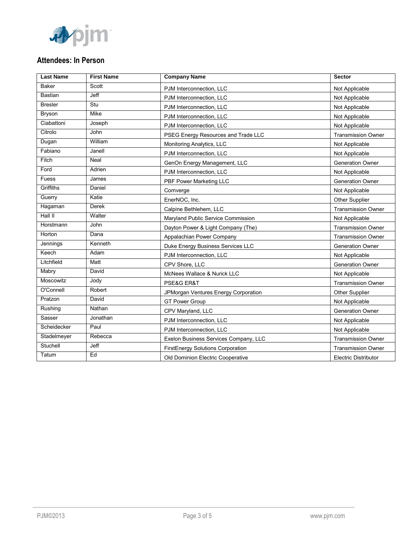

# **Attendees: In Person**

| <b>Last Name</b> | <b>First Name</b> | <b>Company Name</b>                   | Sector                      |
|------------------|-------------------|---------------------------------------|-----------------------------|
| <b>Baker</b>     | Scott             | PJM Interconnection, LLC              | Not Applicable              |
| <b>Bastian</b>   | Jeff              | PJM Interconnection. LLC              | Not Applicable              |
| <b>Bresler</b>   | Stu               | PJM Interconnection, LLC              | Not Applicable              |
| Bryson           | Mike              | PJM Interconnection, LLC              | Not Applicable              |
| Ciabattoni       | Joseph            | PJM Interconnection, LLC              | Not Applicable              |
| Citrolo          | John              | PSEG Energy Resources and Trade LLC   | <b>Transmission Owner</b>   |
| Dugan            | William           | Monitoring Analytics, LLC             | Not Applicable              |
| Fabiano          | Janell            | PJM Interconnection. LLC              | Not Applicable              |
| Fitch            | Neal              | GenOn Energy Management, LLC          | <b>Generation Owner</b>     |
| Ford             | Adrien            | PJM Interconnection, LLC              | Not Applicable              |
| Fuess            | James             | PBF Power Marketing LLC               | <b>Generation Owner</b>     |
| Griffiths        | Daniel            | Comverge                              | Not Applicable              |
| Guerry           | Katie             | EnerNOC, Inc.                         | Other Supplier              |
| Hagaman          | <b>Derek</b>      | Calpine Bethlehem, LLC                | <b>Transmission Owner</b>   |
| Hall $II$        | Walter            | Maryland Public Service Commission    | Not Applicable              |
| Horstmann        | John              | Dayton Power & Light Company (The)    | <b>Transmission Owner</b>   |
| Horton           | Dana              | Appalachian Power Company             | <b>Transmission Owner</b>   |
| Jennings         | Kenneth           | Duke Energy Business Services LLC     | <b>Generation Owner</b>     |
| Keech            | Adam              | PJM Interconnection, LLC              | Not Applicable              |
| Litchfield       | Matt              | CPV Shore, LLC                        | <b>Generation Owner</b>     |
| Mabry            | David             | McNees Wallace & Nurick LLC           | Not Applicable              |
| Moscowitz        | Jody              | PSE&G ER&T                            | <b>Transmission Owner</b>   |
| O'Connell        | Robert            | JPMorgan Ventures Energy Corporation  | Other Supplier              |
| Pratzon          | David             | <b>GT Power Group</b>                 | Not Applicable              |
| Rushing          | Nathan            | CPV Maryland, LLC                     | <b>Generation Owner</b>     |
| Sasser           | Jonathan          | PJM Interconnection, LLC              | Not Applicable              |
| Scheidecker      | Paul              | PJM Interconnection, LLC              | Not Applicable              |
| Stadelmeyer      | Rebecca           | Exelon Business Services Company, LLC | <b>Transmission Owner</b>   |
| Stuchell         | Jeff              | FirstEnergy Solutions Corporation     | <b>Transmission Owner</b>   |
| Tatum            | Ed                | Old Dominion Electric Cooperative     | <b>Electric Distributor</b> |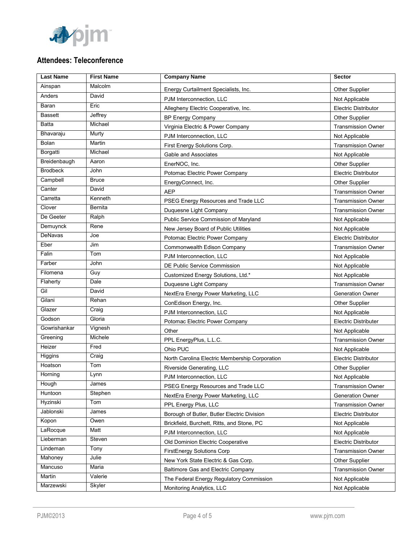

# **Attendees: Teleconference**

| <b>Last Name</b> | <b>First Name</b> | <b>Company Name</b>                            | <b>Sector</b>               |
|------------------|-------------------|------------------------------------------------|-----------------------------|
| Ainspan          | Malcolm           | Energy Curtailment Specialists, Inc.           | <b>Other Supplier</b>       |
| Anders           | David             | PJM Interconnection, LLC                       | Not Applicable              |
| Baran            | Eric              | Allegheny Electric Cooperative, Inc.           | Electric Distributor        |
| <b>Bassett</b>   | Jeffrey           | <b>BP Energy Company</b>                       | Other Supplier              |
| <b>Batta</b>     | Michael           | Virginia Electric & Power Company              | <b>Transmission Owner</b>   |
| Bhavaraju        | Murty             | PJM Interconnection, LLC                       | Not Applicable              |
| Bolan            | Martin            | First Energy Solutions Corp.                   | <b>Transmission Owner</b>   |
| Borgatti         | Michael           | Gable and Associates                           | Not Applicable              |
| Breidenbaugh     | Aaron             | EnerNOC. Inc.                                  | <b>Other Supplier</b>       |
| <b>Brodbeck</b>  | John              | Potomac Electric Power Company                 | Electric Distributor        |
| Campbell         | <b>Bruce</b>      | EnergyConnect, Inc.                            | <b>Other Supplier</b>       |
| Canter           | David             | <b>AEP</b>                                     | <b>Transmission Owner</b>   |
| Carretta         | Kenneth           | PSEG Energy Resources and Trade LLC            | <b>Transmission Owner</b>   |
| Clover           | Bernita           | Duquesne Light Company                         | <b>Transmission Owner</b>   |
| De Geeter        | Ralph             | Public Service Commission of Maryland          | Not Applicable              |
| Demuynck         | Rene              | New Jersey Board of Public Utilities           | Not Applicable              |
| DeNavas          | Joe               | Potomac Electric Power Company                 | Electric Distributor        |
| Eber             | Jim               | Commonwealth Edison Company                    | <b>Transmission Owner</b>   |
| Falin            | Tom               | PJM Interconnection, LLC                       | Not Applicable              |
| Farber           | John              | DE Public Service Commission                   | Not Applicable              |
| Filomena         | Guy               | Customized Energy Solutions, Ltd.*             | Not Applicable              |
| Flaherty         | Dale              | Duquesne Light Company                         | <b>Transmission Owner</b>   |
| Gil              | David             | NextEra Energy Power Marketing, LLC            | <b>Generation Owner</b>     |
| Gilani           | Rehan             | ConEdison Energy, Inc.                         | Other Supplier              |
| Glazer           | Craig             | PJM Interconnection, LLC                       | Not Applicable              |
| Godson           | Gloria            | Potomac Electric Power Company                 | <b>Electric Distributer</b> |
| Gowrishankar     | Vignesh           | Other                                          | Not Applicable              |
| Greening         | Michele           | PPL EnergyPlus, L.L.C.                         | <b>Transmission Owner</b>   |
| Heizer           | Fred              | Ohio PUC                                       | Not Applicable              |
| Higgins          | Craig             | North Carolina Electric Membership Corporation | <b>Electric Distributor</b> |
| Hoatson          | Tom               | Riverside Generating, LLC                      | Other Supplier              |
| Horning          | Lynn              | PJM Interconnection, LLC                       | Not Applicable              |
| Hough            | James             | PSEG Energy Resources and Trade LLC            | <b>Transmission Owner</b>   |
| Huntoon          | Stephen           | NextEra Energy Power Marketing, LLC            | Generation Owner            |
| Hyzinski         | Tom               | PPL Energy Plus, LLC                           | <b>Transmission Owner</b>   |
| Jablonski        | James             | Borough of Butler, Butler Electric Division    | Electric Distributor        |
| Kopon            | Owen              | Brickfield, Burchett, Ritts, and Stone, PC     | Not Applicable              |
| LaRocque         | Matt              | PJM Interconnection, LLC                       | Not Applicable              |
| Lieberman        | Steven            | Old Dominion Electric Cooperative              | <b>Electric Distributor</b> |
| Lindeman         | Tony              | FirstEnergy Solutions Corp                     | <b>Transmission Owner</b>   |
| Mahoney          | Julie             | New York State Electric & Gas Corp.            | Other Supplier              |
| Mancuso          | Maria             | Baltimore Gas and Electric Company             | <b>Transmission Owner</b>   |
| Martin           | Valerie           | The Federal Energy Regulatory Commission       | Not Applicable              |
| Marzewski        | Skyler            | Monitoring Analytics, LLC                      | Not Applicable              |